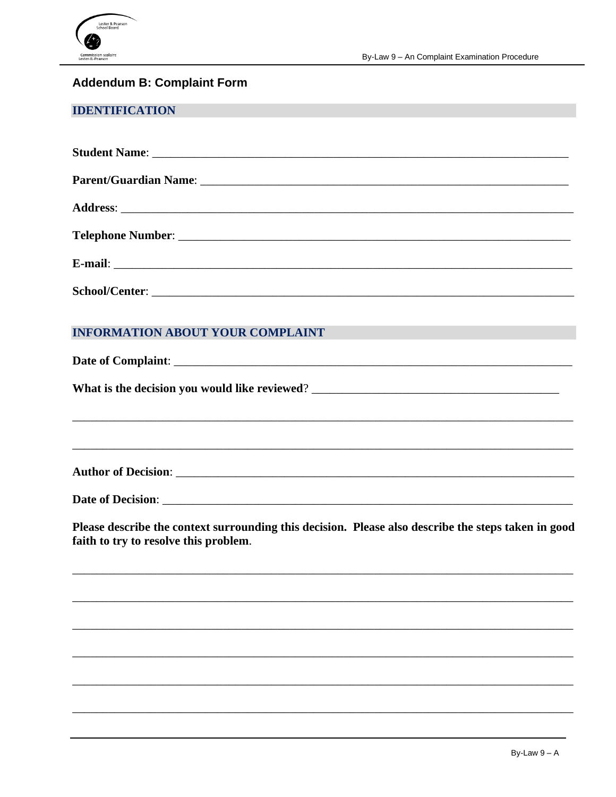

# **Addendum B: Complaint Form**

## **IDENTIFICATION**

| Student Name: <u>Name:</u> Name: 2008. All 2008. All 2008. All 2009. All 2009. All 2009. All 2009. All 2009. All 2009. All 2009. All 2009. All 2009. All 2009. All 2009. All 2009. All 2009. All 2009. All 2009. All 2009. All 2009 |  |  |
|-------------------------------------------------------------------------------------------------------------------------------------------------------------------------------------------------------------------------------------|--|--|
|                                                                                                                                                                                                                                     |  |  |
|                                                                                                                                                                                                                                     |  |  |
|                                                                                                                                                                                                                                     |  |  |
|                                                                                                                                                                                                                                     |  |  |
|                                                                                                                                                                                                                                     |  |  |

## **INFORMATION ABOUT YOUR COMPLAINT**

Author of Decision:

Date of Decision:

Please describe the context surrounding this decision. Please also describe the steps taken in good faith to try to resolve this problem.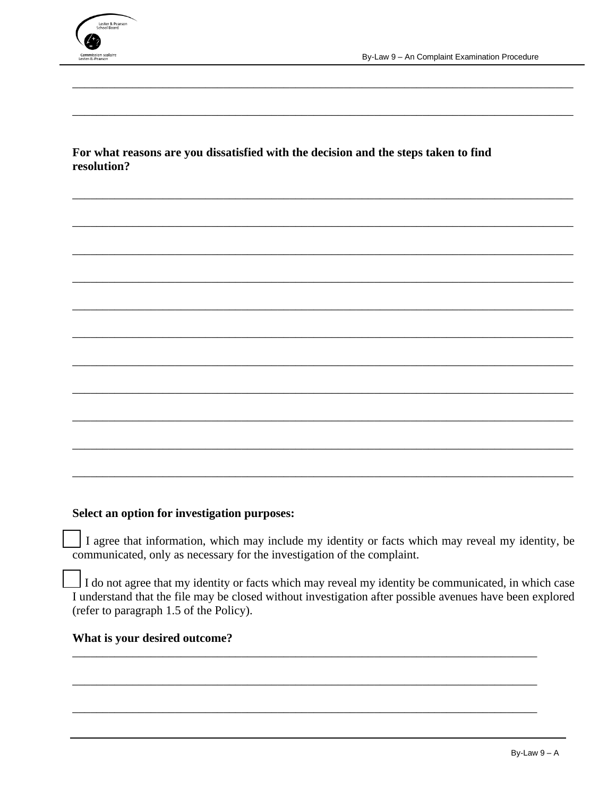

For what reasons are you dissatisfied with the decision and the steps taken to find resolution?

## Select an option for investigation purposes:

I agree that information, which may include my identity or facts which may reveal my identity, be communicated, only as necessary for the investigation of the complaint.

I do not agree that my identity or facts which may reveal my identity be communicated, in which case I understand that the file may be closed without investigation after possible avenues have been explored (refer to paragraph 1.5 of the Policy).

#### What is your desired outcome?